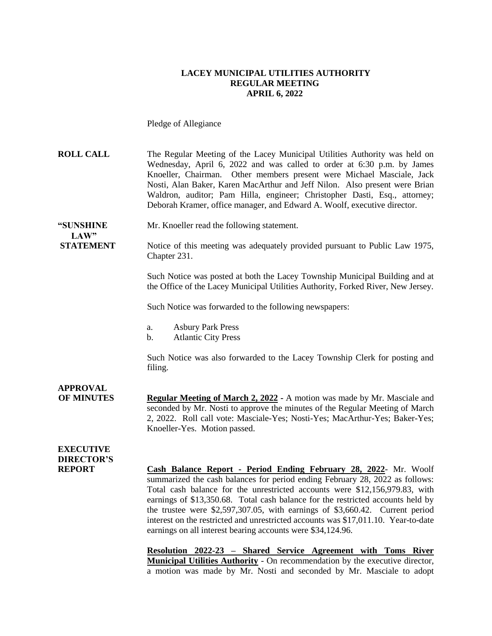#### **LACEY MUNICIPAL UTILITIES AUTHORITY REGULAR MEETING APRIL 6, 2022**

Pledge of Allegiance

**ROLL CALL** The Regular Meeting of the Lacey Municipal Utilities Authority was held on Wednesday, April 6, 2022 and was called to order at 6:30 p.m. by James Knoeller, Chairman. Other members present were Michael Masciale, Jack Nosti, Alan Baker, Karen MacArthur and Jeff Nilon. Also present were Brian Waldron, auditor; Pam Hilla, engineer; Christopher Dasti, Esq., attorney; Deborah Kramer, office manager, and Edward A. Woolf, executive director.

**"SUNSHINE** Mr. Knoeller read the following statement.

**STATEMENT** Notice of this meeting was adequately provided pursuant to Public Law 1975, Chapter 231.

> Such Notice was posted at both the Lacey Township Municipal Building and at the Office of the Lacey Municipal Utilities Authority, Forked River, New Jersey.

Such Notice was forwarded to the following newspapers:

- a. Asbury Park Press
- b. Atlantic City Press

Such Notice was also forwarded to the Lacey Township Clerk for posting and filing.

#### **APPROVAL OF MINUTES Regular Meeting of March 2, 2022 -** A motion was made by Mr. Masciale and seconded by Mr. Nosti to approve the minutes of the Regular Meeting of March 2, 2022. Roll call vote: Masciale-Yes; Nosti-Yes; MacArthur-Yes; Baker-Yes; Knoeller-Yes. Motion passed.

### **EXECUTIVE DIRECTOR'S**

 $LAW"$ 

**REPORT Cash Balance Report - Period Ending February 28, 2022**- Mr. Woolf summarized the cash balances for period ending February 28, 2022 as follows: Total cash balance for the unrestricted accounts were \$12,156,979.83, with earnings of \$13,350.68. Total cash balance for the restricted accounts held by the trustee were \$2,597,307.05, with earnings of \$3,660.42. Current period interest on the restricted and unrestricted accounts was \$17,011.10. Year-to-date earnings on all interest bearing accounts were \$34,124.96.

> **Resolution 2022-23 – Shared Service Agreement with Toms River Municipal Utilities Authority** - On recommendation by the executive director, a motion was made by Mr. Nosti and seconded by Mr. Masciale to adopt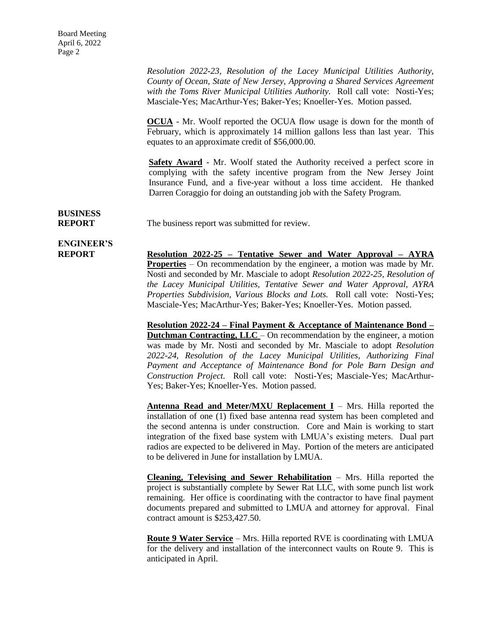*Resolution 2022-23, Resolution of the Lacey Municipal Utilities Authority, County of Ocean, State of New Jersey, Approving a Shared Services Agreement with the Toms River Municipal Utilities Authority.* Roll call vote: Nosti-Yes; Masciale-Yes; MacArthur-Yes; Baker-Yes; Knoeller-Yes. Motion passed.

**OCUA** - Mr. Woolf reported the OCUA flow usage is down for the month of February, which is approximately 14 million gallons less than last year. This equates to an approximate credit of \$56,000.00.

**Safety Award** - Mr. Woolf stated the Authority received a perfect score in complying with the safety incentive program from the New Jersey Joint Insurance Fund, and a five-year without a loss time accident. He thanked Darren Coraggio for doing an outstanding job with the Safety Program.

**BUSINESS**

**REPORT** The business report was submitted for review.

# **ENGINEER'S**

**REPORT Resolution 2022-25 – Tentative Sewer and Water Approval – AYRA Properties** – On recommendation by the engineer, a motion was made by Mr. Nosti and seconded by Mr. Masciale to adopt *Resolution 2022-25, Resolution of the Lacey Municipal Utilities, Tentative Sewer and Water Approval, AYRA Properties Subdivision, Various Blocks and Lots.* Roll call vote: Nosti-Yes; Masciale-Yes; MacArthur-Yes; Baker-Yes; Knoeller-Yes. Motion passed.

> **Resolution 2022-24 – Final Payment & Acceptance of Maintenance Bond – Dutchman Contracting, LLC** – On recommendation by the engineer, a motion was made by Mr. Nosti and seconded by Mr. Masciale to adopt *Resolution 2022-24, Resolution of the Lacey Municipal Utilities, Authorizing Final Payment and Acceptance of Maintenance Bond for Pole Barn Design and Construction Project.* Roll call vote: Nosti-Yes; Masciale-Yes; MacArthur-Yes; Baker-Yes; Knoeller-Yes. Motion passed.

> **Antenna Read and Meter/MXU Replacement I** – Mrs. Hilla reported the installation of one (1) fixed base antenna read system has been completed and the second antenna is under construction. Core and Main is working to start integration of the fixed base system with LMUA's existing meters. Dual part radios are expected to be delivered in May. Portion of the meters are anticipated to be delivered in June for installation by LMUA.

> **Cleaning, Televising and Sewer Rehabilitation** – Mrs. Hilla reported the project is substantially complete by Sewer Rat LLC, with some punch list work remaining. Her office is coordinating with the contractor to have final payment documents prepared and submitted to LMUA and attorney for approval. Final contract amount is \$253,427.50.

> **Route 9 Water Service** – Mrs. Hilla reported RVE is coordinating with LMUA for the delivery and installation of the interconnect vaults on Route 9. This is anticipated in April.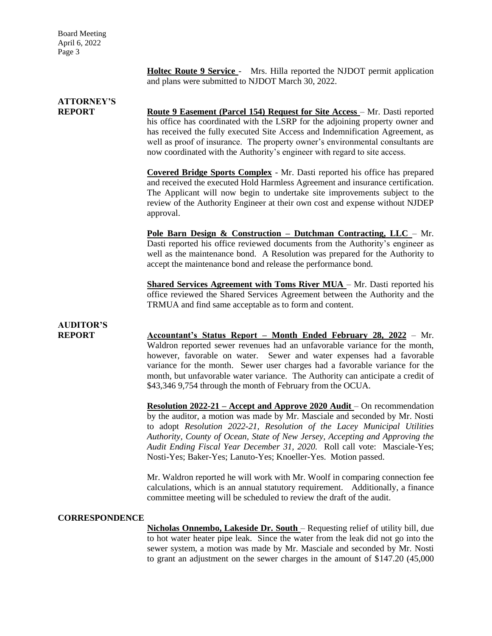Board Meeting April 6, 2022 Page 3

> **Holtec Route 9 Service** - Mrs. Hilla reported the NJDOT permit application and plans were submitted to NJDOT March 30, 2022.

### **ATTORNEY'S**

**REPORT Route 9 Easement (Parcel 154) Request for Site Access** – Mr. Dasti reported his office has coordinated with the LSRP for the adjoining property owner and has received the fully executed Site Access and Indemnification Agreement, as well as proof of insurance. The property owner's environmental consultants are now coordinated with the Authority's engineer with regard to site access.

> **Covered Bridge Sports Complex** - Mr. Dasti reported his office has prepared and received the executed Hold Harmless Agreement and insurance certification. The Applicant will now begin to undertake site improvements subject to the review of the Authority Engineer at their own cost and expense without NJDEP approval.

> **Pole Barn Design & Construction – Dutchman Contracting, LLC** – Mr. Dasti reported his office reviewed documents from the Authority's engineer as well as the maintenance bond. A Resolution was prepared for the Authority to accept the maintenance bond and release the performance bond.

> **Shared Services Agreement with Toms River MUA** – Mr. Dasti reported his office reviewed the Shared Services Agreement between the Authority and the TRMUA and find same acceptable as to form and content.

# **AUDITOR'S**

**REPORT Accountant's Status Report – Month Ended February 28, 2022** – Mr. Waldron reported sewer revenues had an unfavorable variance for the month, however, favorable on water. Sewer and water expenses had a favorable variance for the month. Sewer user charges had a favorable variance for the month, but unfavorable water variance. The Authority can anticipate a credit of \$43,346 9,754 through the month of February from the OCUA.

> **Resolution 2022-21 – Accept and Approve 2020 Audit** – On recommendation by the auditor, a motion was made by Mr. Masciale and seconded by Mr. Nosti to adopt *Resolution 2022-21, Resolution of the Lacey Municipal Utilities Authority, County of Ocean, State of New Jersey, Accepting and Approving the Audit Ending Fiscal Year December 31, 2020.* Roll call vote: Masciale-Yes; Nosti-Yes; Baker-Yes; Lanuto-Yes; Knoeller-Yes. Motion passed.

> Mr. Waldron reported he will work with Mr. Woolf in comparing connection fee calculations, which is an annual statutory requirement. Additionally, a finance committee meeting will be scheduled to review the draft of the audit.

#### **CORRESPONDENCE**

**Nicholas Onnembo, Lakeside Dr. South** – Requesting relief of utility bill, due to hot water heater pipe leak. Since the water from the leak did not go into the sewer system, a motion was made by Mr. Masciale and seconded by Mr. Nosti to grant an adjustment on the sewer charges in the amount of \$147.20 (45,000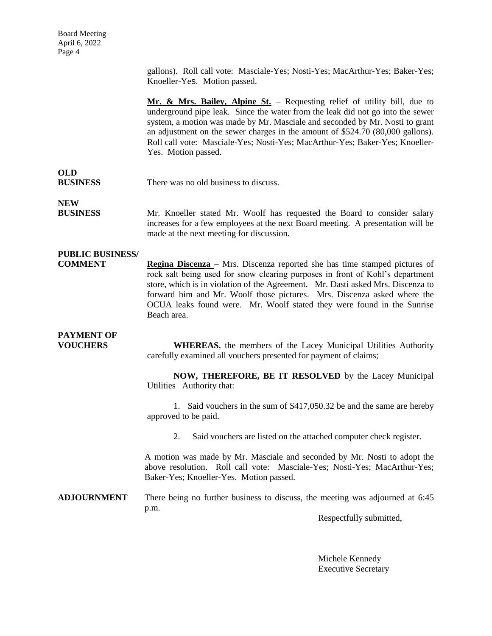gallons). Roll call vote: Masciale-Yes; Nosti-Yes; MacArthur-Yes; Baker-Yes; Knoeller-Yes. Motion passed.

**Mr. & Mrs. Bailey, Alpine St.** – Requesting relief of utility bill, due to underground pipe leak. Since the water from the leak did not go into the sewer system, a motion was made by Mr. Masciale and seconded by Mr. Nosti to grant an adjustment on the sewer charges in the amount of \$524.70 (80,000 gallons). Roll call vote: Masciale-Yes; Nosti-Yes; MacArthur-Yes; Baker-Yes; Knoeller-Yes. Motion passed.

#### **OLD BUSINESS** There was no old business to discuss.

**NEW**

**BUSINESS** Mr. Knoeller stated Mr. Woolf has requested the Board to consider salary increases for a few employees at the next Board meeting. A presentation will be made at the next meeting for discussion.

### **PUBLIC BUSINESS/**

**COMMENT Regina Discenza** – Mrs. Discenza reported she has time stamped pictures of rock salt being used for snow clearing purposes in front of Kohl's department store, which is in violation of the Agreement. Mr. Dasti asked Mrs. Discenza to forward him and Mr. Woolf those pictures. Mrs. Discenza asked where the OCUA leaks found were. Mr. Woolf stated they were found in the Sunrise Beach area.

## **PAYMENT OF**

**VOUCHERS WHEREAS**, the members of the Lacey Municipal Utilities Authority carefully examined all vouchers presented for payment of claims;

> **NOW, THEREFORE, BE IT RESOLVED** by the Lacey Municipal Utilities Authority that:

> 1. Said vouchers in the sum of \$417,050.32 be and the same are hereby approved to be paid.

2. Said vouchers are listed on the attached computer check register.

A motion was made by Mr. Masciale and seconded by Mr. Nosti to adopt the above resolution. Roll call vote: Masciale-Yes; Nosti-Yes; MacArthur-Yes; Baker-Yes; Knoeller-Yes. Motion passed.

**ADJOURNMENT** There being no further business to discuss, the meeting was adjourned at 6:45 p.m.

Respectfully submitted,

Michele Kennedy Executive Secretary